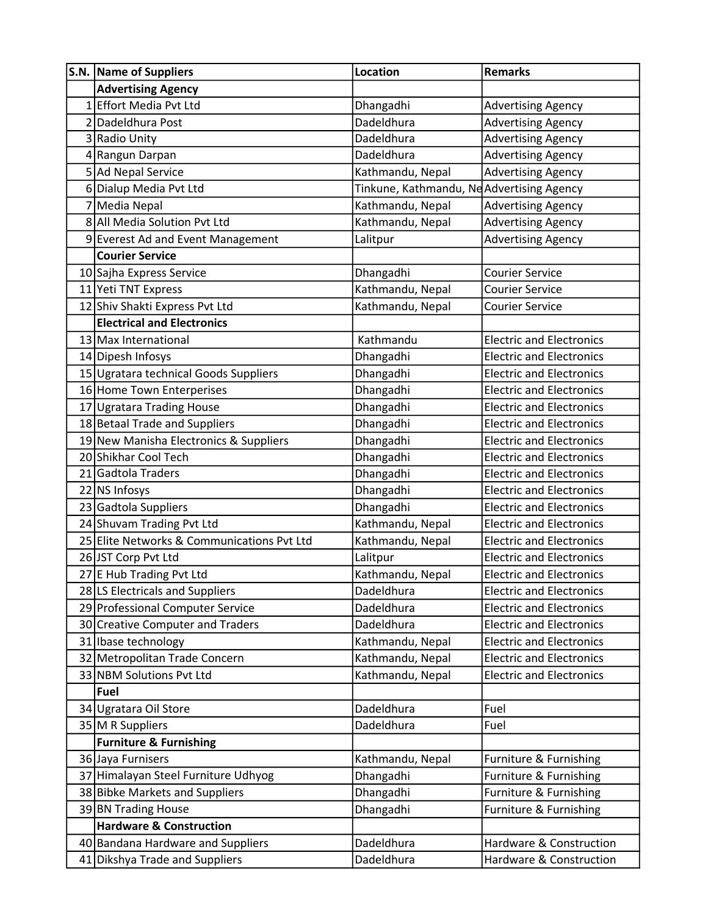| S.N. Name of Suppliers                     | Location                                  | <b>Remarks</b>                  |
|--------------------------------------------|-------------------------------------------|---------------------------------|
| <b>Advertising Agency</b>                  |                                           |                                 |
| 1 Effort Media Pvt Ltd                     | Dhangadhi                                 | <b>Advertising Agency</b>       |
| 2 Dadeldhura Post                          | Dadeldhura                                | <b>Advertising Agency</b>       |
| 3 Radio Unity                              | Dadeldhura                                | <b>Advertising Agency</b>       |
| 4 Rangun Darpan                            | Dadeldhura                                | <b>Advertising Agency</b>       |
| 5 Ad Nepal Service                         | Kathmandu, Nepal                          | <b>Advertising Agency</b>       |
| 6 Dialup Media Pvt Ltd                     | Tinkune, Kathmandu, Ne Advertising Agency |                                 |
| 7 Media Nepal                              | Kathmandu, Nepal                          | <b>Advertising Agency</b>       |
| 8 All Media Solution Pvt Ltd               | Kathmandu, Nepal                          | <b>Advertising Agency</b>       |
| 9 Everest Ad and Event Management          | Lalitpur                                  | <b>Advertising Agency</b>       |
| <b>Courier Service</b>                     |                                           |                                 |
| 10 Sajha Express Service                   | Dhangadhi                                 | <b>Courier Service</b>          |
| 11 Yeti TNT Express                        | Kathmandu, Nepal                          | <b>Courier Service</b>          |
| 12 Shiv Shakti Express Pvt Ltd             | Kathmandu, Nepal                          | <b>Courier Service</b>          |
| <b>Electrical and Electronics</b>          |                                           |                                 |
| 13 Max International                       | Kathmandu                                 | <b>Electric and Electronics</b> |
| 14 Dipesh Infosys                          | Dhangadhi                                 | <b>Electric and Electronics</b> |
| 15 Ugratara technical Goods Suppliers      | Dhangadhi                                 | <b>Electric and Electronics</b> |
| 16 Home Town Enterperises                  | Dhangadhi                                 | <b>Electric and Electronics</b> |
| 17 Ugratara Trading House                  | Dhangadhi                                 | <b>Electric and Electronics</b> |
| 18 Betaal Trade and Suppliers              | Dhangadhi                                 | <b>Electric and Electronics</b> |
| 19 New Manisha Electronics & Suppliers     | Dhangadhi                                 | <b>Electric and Electronics</b> |
| 20 Shikhar Cool Tech                       | Dhangadhi                                 | <b>Electric and Electronics</b> |
| 21 Gadtola Traders                         | Dhangadhi                                 | <b>Electric and Electronics</b> |
| 22 NS Infosys                              | Dhangadhi                                 | <b>Electric and Electronics</b> |
| 23 Gadtola Suppliers                       | Dhangadhi                                 | <b>Electric and Electronics</b> |
| 24 Shuvam Trading Pvt Ltd                  | Kathmandu, Nepal                          | <b>Electric and Electronics</b> |
| 25 Elite Networks & Communications Pvt Ltd | Kathmandu, Nepal                          | <b>Electric and Electronics</b> |
| 26 JST Corp Pvt Ltd                        | Lalitpur                                  | <b>Electric and Electronics</b> |
| 27 E Hub Trading Pvt Ltd                   | Kathmandu, Nepal                          | <b>Electric and Electronics</b> |
| 28 LS Electricals and Suppliers            | Dadeldhura                                | <b>Electric and Electronics</b> |
| 29 Professional Computer Service           | Dadeldhura                                | <b>Electric and Electronics</b> |
| 30 Creative Computer and Traders           | Dadeldhura                                | <b>Electric and Electronics</b> |
| 31 Ibase technology                        | Kathmandu, Nepal                          | <b>Electric and Electronics</b> |
| 32 Metropolitan Trade Concern              | Kathmandu, Nepal                          | <b>Electric and Electronics</b> |
| 33 NBM Solutions Pvt Ltd                   | Kathmandu, Nepal                          | <b>Electric and Electronics</b> |
| Fuel                                       |                                           |                                 |
| 34 Ugratara Oil Store                      | Dadeldhura                                | Fuel                            |
| 35 M R Suppliers                           | Dadeldhura                                | Fuel                            |
| <b>Furniture &amp; Furnishing</b>          |                                           |                                 |
| 36 Jaya Furnisers                          | Kathmandu, Nepal                          | Furniture & Furnishing          |
| 37 Himalayan Steel Furniture Udhyog        | Dhangadhi                                 | Furniture & Furnishing          |
| 38 Bibke Markets and Suppliers             | Dhangadhi                                 | Furniture & Furnishing          |
| 39 BN Trading House                        | Dhangadhi                                 | Furniture & Furnishing          |
| <b>Hardware &amp; Construction</b>         |                                           |                                 |
| 40 Bandana Hardware and Suppliers          | Dadeldhura                                | Hardware & Construction         |
| 41 Dikshya Trade and Suppliers             | Dadeldhura                                | Hardware & Construction         |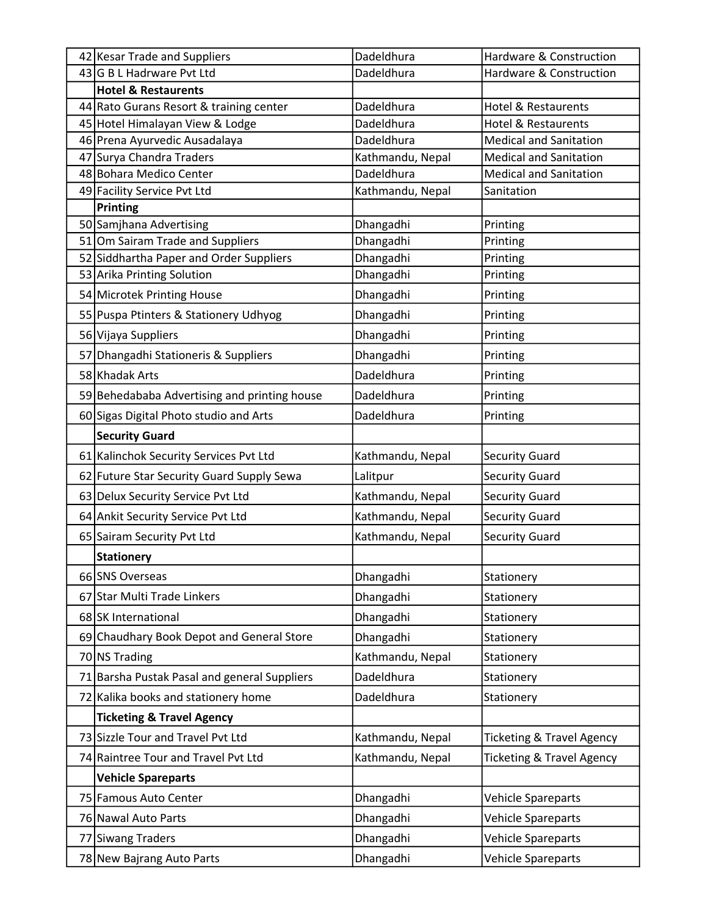| 42 Kesar Trade and Suppliers                 | Dadeldhura       | Hardware & Construction              |
|----------------------------------------------|------------------|--------------------------------------|
| 43 G B L Hadrware Pvt Ltd                    | Dadeldhura       | Hardware & Construction              |
| <b>Hotel &amp; Restaurents</b>               |                  |                                      |
| 44 Rato Gurans Resort & training center      | Dadeldhura       | <b>Hotel &amp; Restaurents</b>       |
| 45 Hotel Himalayan View & Lodge              | Dadeldhura       | Hotel & Restaurents                  |
| 46 Prena Ayurvedic Ausadalaya                | Dadeldhura       | <b>Medical and Sanitation</b>        |
| 47 Surya Chandra Traders                     | Kathmandu, Nepal | <b>Medical and Sanitation</b>        |
| 48 Bohara Medico Center                      | Dadeldhura       | <b>Medical and Sanitation</b>        |
| 49 Facility Service Pvt Ltd                  | Kathmandu, Nepal | Sanitation                           |
| Printing                                     |                  |                                      |
| 50 Samjhana Advertising                      | Dhangadhi        | Printing                             |
| 51 Om Sairam Trade and Suppliers             | Dhangadhi        | Printing                             |
| 52 Siddhartha Paper and Order Suppliers      | Dhangadhi        | Printing                             |
| 53 Arika Printing Solution                   | Dhangadhi        | Printing                             |
| 54 Microtek Printing House                   | Dhangadhi        | Printing                             |
| 55 Puspa Ptinters & Stationery Udhyog        | Dhangadhi        | Printing                             |
| 56 Vijaya Suppliers                          | Dhangadhi        | Printing                             |
| 57 Dhangadhi Stationeris & Suppliers         | Dhangadhi        | Printing                             |
| 58 Khadak Arts                               | Dadeldhura       | Printing                             |
| 59 Behedababa Advertising and printing house | Dadeldhura       | Printing                             |
| 60 Sigas Digital Photo studio and Arts       | Dadeldhura       | Printing                             |
| <b>Security Guard</b>                        |                  |                                      |
| 61 Kalinchok Security Services Pvt Ltd       | Kathmandu, Nepal | <b>Security Guard</b>                |
| 62 Future Star Security Guard Supply Sewa    | Lalitpur         | <b>Security Guard</b>                |
| 63 Delux Security Service Pvt Ltd            | Kathmandu, Nepal | <b>Security Guard</b>                |
| 64 Ankit Security Service Pvt Ltd            | Kathmandu, Nepal | <b>Security Guard</b>                |
| 65 Sairam Security Pvt Ltd                   | Kathmandu, Nepal | <b>Security Guard</b>                |
| <b>Stationery</b>                            |                  |                                      |
| 66 SNS Overseas                              | Dhangadhi        | Stationery                           |
| 67 Star Multi Trade Linkers                  | Dhangadhi        | Stationery                           |
| 68 SK International                          | Dhangadhi        | Stationery                           |
| 69 Chaudhary Book Depot and General Store    | Dhangadhi        | Stationery                           |
| 70 NS Trading                                | Kathmandu, Nepal | Stationery                           |
| 71 Barsha Pustak Pasal and general Suppliers | Dadeldhura       | Stationery                           |
| 72 Kalika books and stationery home          | Dadeldhura       | Stationery                           |
| <b>Ticketing &amp; Travel Agency</b>         |                  |                                      |
| 73 Sizzle Tour and Travel Pvt Ltd            | Kathmandu, Nepal | <b>Ticketing &amp; Travel Agency</b> |
| 74 Raintree Tour and Travel Pvt Ltd          | Kathmandu, Nepal | Ticketing & Travel Agency            |
| <b>Vehicle Spareparts</b>                    |                  |                                      |
| 75 Famous Auto Center                        | Dhangadhi        | Vehicle Spareparts                   |
| 76 Nawal Auto Parts                          | Dhangadhi        | Vehicle Spareparts                   |
| 77 Siwang Traders                            | Dhangadhi        | Vehicle Spareparts                   |
| 78 New Bajrang Auto Parts                    | Dhangadhi        | Vehicle Spareparts                   |